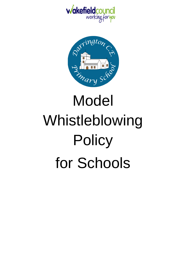



# Whistleblowing **Policy** for Schools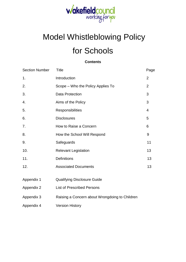

# Model Whistleblowing Policy

# for Schools

**Contents**

| <b>Section Number</b> | <b>Title</b>                                   | Page           |
|-----------------------|------------------------------------------------|----------------|
| 1.                    | Introduction                                   | $\overline{2}$ |
| 2.                    | Scope – Who the Policy Applies To              | $\overline{2}$ |
| 3.                    | <b>Data Protection</b>                         | 3              |
| 4.                    | Aims of the Policy                             | 3              |
| 5.                    | Responsibilities                               | 4              |
| 6.                    | <b>Disclosures</b>                             | 5              |
| 7.                    | How to Raise a Concern                         | 6              |
| 8.                    | How the School Will Respond                    | 9              |
| 9.                    | Safeguards                                     | 11             |
| 10.                   | <b>Relevant Legislation</b>                    | 13             |
| 11.                   | <b>Definitions</b>                             | 13             |
| 12.                   | <b>Associated Documents</b>                    | 13             |
| Appendix 1            | <b>Qualifying Disclosure Guide</b>             |                |
| Appendix 2            | <b>List of Prescribed Persons</b>              |                |
| Appendix 3            | Raising a Concern about Wrongdoing to Children |                |
| Appendix 4            | <b>Version History</b>                         |                |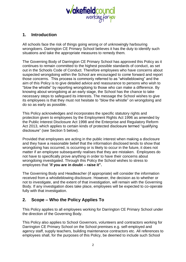

# **1. Introduction**

All schools face the risk of things going wrong or of unknowingly harbouring wrongdoers. Darrington CE Primary School believes it has the duty to identify such situations and take the appropriate measures to remedy them.

The Governing Body of Darrington CE Primary School has approved this Policy as it continues to remain committed to the highest possible standards of conduct, as set out in the Schools Code of Conduct. Therefore employees who have concerns about suspected wrongdoing within the School are encouraged to come forward and report those concerns. This process is commonly referred to as "whistleblowing" and the aim of this Policy is to give detailed advice and reassurance to persons who wish to "blow the whistle" by reporting wrongdoing to those who can make a difference. By knowing about wrongdoing at an early stage, the School has the chance to take necessary steps to safeguard its interests. The message the School wishes to give its employees is that they must not hesitate to "blow the whistle" on wrongdoing and do so as early as possible.

This Policy acknowledges and incorporates the specific statutory rights and protection given to employees by the Employment Rights Act 1996 as amended by the Public Interest Disclosure Act 1998 and the Enterprise and Regulatory Reform Act 2013, which applies to certain kinds of protected disclosure termed "qualifying disclosure" (see Section 5 below).

Provided that employees are acting in the public interest when making a disclosure and they have a reasonable belief that the information disclosed tends to show that wrongdoing has occurred, is occurring or is likely to occur in the future, it does not matter if an employee subsequently realises that they are mistaken. Employees do not have to specifically prove anything in order to have their concerns about wrongdoing investigated. Through this Policy the School wishes to stress to employees that "**if you are in doubt – raise it".**

The Governing Body and Headteacher (if appropriate) will consider the information received from a whistleblowing disclosure. However, the decision as to whether or not to investigate, and the extent of that investigation, will remain with the Governing Body. If any investigation does take place, employees will be expected to co-operate fully with that investigation.

# **2. Scope – Who the Policy Applies To**

This Policy applies to all employees working for Darrington CE Primary School under the direction of the Governing Body.

This Policy also applies to School Governors, volunteers and contractors working for Darrington CE Primary School on the School premises e.g. self-employed and agency staff, supply teachers, building maintenance contractors etc. All references to employees shall, for the purposes of this Policy, be deemed to include such School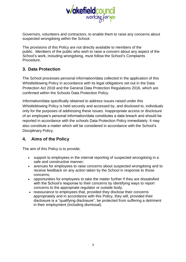

Governors, volunteers and contractors, to enable them to raise any concerns about suspected wrongdoing within the School.

The provisions of this Policy are not directly available to members of the public. Members of the public who wish to raise a concern about any aspect of the School's work, including wrongdoing, must follow the School's Complaints Procedure.

# **3. Data Protection**

The School processes personal information/data collected in the application of this Whistleblowing Policy in accordance with its legal obligations set out in the Data Protection Act 2018 and the General Data Protection Regulations 2016, which are confirmed within the Schools Data Protection Policy.

Information/data specifically obtained to address issues raised under this Whistleblowing Policy is held securely and accessed by, and disclosed to, individuals only for the purposes of addressing these issues. Inappropriate access or disclosure of an employee's personal information/data constitutes a data breach and should be reported in accordance with the schools Data Protection Policy immediately. It may also constitute a matter which will be considered in accordance with the School's Disciplinary Policy.

# **4. Aims of the Policy**

The aim of this Policy is to provide;

- support to employees in the internal reporting of suspected wrongdoing in a safe and constructive manner;
- avenues for employees to raise concerns about suspected wrongdoing and to receive feedback on any action taken by the School in response to those concerns;
- opportunities for employees to take the matter further if they are dissatisfied with the School's response to their concerns by identifying ways to report concerns to the appropriate regulator or outside body.
- reassurance to employees that, provided they disclose their concerns appropriately and in accordance with this Policy, they will, provided their disclosure is a "qualifying disclosure", be protected from suffering a detriment in their employment (including dismissal).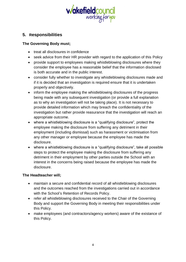

# **5. Responsibilities**

#### **The Governing Body must;**

- treat all disclosures in confidence
- seek advice from their HR provider with regard to the application of this Policy
- provide support to employees making whistleblowing disclosures where they consider the employee has a reasonable belief that the information disclosed is both accurate and in the public interest.
- consider fully whether to investigate any whistleblowing disclosures made and if it is decided that an investigation is required ensure that it is undertaken properly and objectively.
- inform the employee making the whistleblowing disclosures of the progress being made with any subsequent investigation (or provide a full explanation as to why an investigation will not be taking place). It is not necessary to provide detailed information which may breach the confidentiality of the investigation but rather provide reasurance that the investigation will reach an appropriate outcome.
- where a whistleblowing disclosure is a "qualifying disclosure", protect the employee making the disclosure from suffering any detriment in their employment (including dismissal) such as harassment or victimisation from any other manager or employee because the employee has made the disclosure.
- where a whistleblowing disclosure is a "qualifying disclosure", take all possible steps to protect the employee making the disclosure from suffering any detriment in their employment by other parties outside the School with an interest in the concerns being raised because the employee has made the disclosure.

#### **The Headteacher will;**

- maintain a secure and confidential record of all whistleblowing disclosures and the outcomes reached from the investigations carried out in accordance with the School's Retention of Records Policy.
- refer all whistleblowing disclosures received to the Chair of the Governing Body and support the Governing Body in meeting their responsibilities under this Policy.
- make employees (and contractors/agency workers) aware of the existance of this Policy.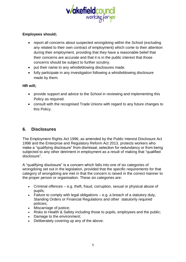

#### **Employees should;**

- report all concerns about suspected wrongdoing within the School (excluding any related to their own contract of employment) which come to their attention during their employment, providing that they have a reasonable belief that their concerns are accurate and that it is in the public interest that those concerns should be subject to further scrutiny.
- put their name to any whistleblowing disclosures made.
- fully participate in any investigation following a whistleblowing disclosure made by them.

#### **HR will;**

- provide support and advice to the School in reviewing and implementing this Policy as required.
- consult with the recognised Trade Unions with regard to any future changes to this Policy.

# **6. Disclosures**

The Employment Rights Act 1996, as amended by the Public Interest Disclosure Act 1998 and the Enterprise and Regulatory Reform Act 2013, protects workers who make a "qualifying disclosure" from dismissal, selection for redundancy or from being subjected to any other detriment in employment as a result of making that "qualified disclosure".

A "qualifying disclosure" is a concern which falls into one of six categories of wrongdoing set out in the legislation, provided that the specific requirements for that category of wrongdoing are met in that the concern is raised in the correct manner to the proper person or organisation. These six categories are:

- Criminal offences e.g. theft, fraud, corruption, sexual or physical abuse of pupils;
- Failure to comply with legal obligations  $-$  e.g. a breach of a statutory duty, Standing Orders or Financial Regulations and other statutorily required policies;
- Miscarriage of justice;
- Risks to Health & Safety including those to pupils, employees and the public;
- Damage to the environment;
- Deliberately covering up any of the above.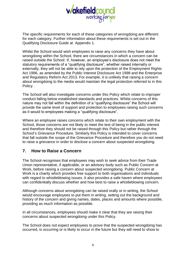

The specific requirements for each of these categories of wrongdoing are different for each category. Further information about these requirements is set out in the Qualifying Disclosure Guide at Appendix 1.

Whilst the School would wish employees to raise any concerns they have about wrongdoing within the School, there are circumstances in which a concern can be raised outside the School. If, however, an employee's disclosure does not meet the statutory requirements of a "qualifying disclosure", whether raised internally or externally, they will not be able to rely upon the protection of the Employment Rights Act 1996, as amended by the Public Interest Disclosure Act 1998 and the Enterprise and Regulatory Reform Act 2013. For example, it is unlikely that raising a concern about wrongdoing to the media would maintain the legal protection referred to in this Policy.

The School will also investigate concerns under this Policy which relate to improper conduct falling below established standards and practices. Whilst concerns of this nature may not fall within the definition of a "qualifying disclosure" the School will provide the same level of support and protection to employees raising such concerns as it would to employees making a "qualifying disclosure".

Where an employee raises concerns which relate to their own employment with the School, those concerns are not likely to meet the test of being in the public interest and therefore they should not be raised through this Policy but rather through the School's Grievance Procedure. Similarly this Policy is intended to cover concerns that fall outside the scope of the Grievance Procedure and therefore you do not need to raise a grievance in order to disclose a concern about suspected wrongdoing.

# **7. How to Raise a Concern**

The School recognises that employees may wish to seek advice from their Trade Union representative, if applicable, or an advisory body such as Public Concern at Work, before raising a concern about suspected wrongdoing. Public Concern at Work is a charity which provides free support to both organisations and individuals with regard to whistleblowing issues. It also provides a safe haven where employees can confidentially discuss whether and how best to raise a whistleblowing concern.

Although concerns about wrongdoing can be raised orally or in writing, the School would encourage employees to put them in writing, setting out the background and history of the concern and giving names, dates, places and amounts where possible, providing as much information as possible.

In all circumstances, employees should make it clear that they are raising their concerns about suspected wrongdoing under this Policy.

The School does not expect employees to prove that the suspected wrongdoing has occurred, is occurring or is likely to occur in the future but they will need to show to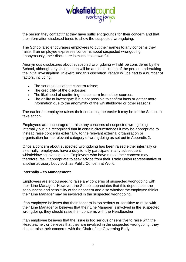

the person they contact that they have sufficient grounds for their concern and that the information disclosed tends to show the suspected wrongdoing.

The School also encourages employees to put their names to any concerns they raise. If an employee expresses concerns about suspected wrongdoing anonymously, their disclosure is much less powerful.

Anonymous disclosures about suspected wrongdoing will still be considered by the School, although any action taken will be at the discretion of the person undertaking the initial investigation. In exercising this discretion, regard will be had to a number of factors, including:

- The seriousness of the concern raised;
- The credibility of the disclosure;
- The likelihood of confirming the concern from other sources.
- The ability to investigate if it is not possible to confirm facts or gather more information due to the anonymity of the whistleblower or other reasons.

The earlier an employee raises their concerns, the easier it may be for the School to take action.

Employees are encouraged to raise any concerns of suspected wrongdoing internally but it is recognised that in certain circumstances it may be appropriate to instead raise concerns externally, to the relevant external organisation or organisation for the relevant category of wrongdoing as set out in Appendix 2.

Once a concern about suspected wrongdoing has been raised either internally or externally, employees have a duty to fully participate in any subsequent whistleblowing investigation. Employees who have raised their concern may, therefore, feel it appropriate to seek advice from their Trade Union representative or another advisory body such as Public Concern at Work.

#### **Internally – to Management**

Employees are encouraged to raise any concerns of suspected wrongdoing with their Line Manager. However, the School appreciates that this depends on the seriousness and sensitivity of their concern and also whether the employee thinks their Line Manager may be involved in the suspected wrongdoing.

If an employee believes that their concern is too serious or sensitive to raise with their Line Manager or believes that their Line Manager is involved in the suspected wrongdoing, they should raise their concerns with the Headteacher.

If an employee believes that the issue is too serious or sensitive to raise with the Headteacher, or believes that they are involved in the suspected wrongdoing, they should raise their concerns with the Chair of the Governing Body.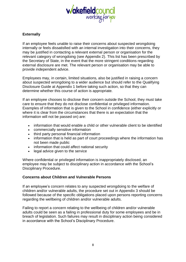

#### **Externally**

If an employee feels unable to raise their concerns about suspected wrongdoing internally or feels dissatisfied with an internal investigation into their concerns, they may be justified in contacting a relevant external person or organisation for the relevant category of wrongdoing (see Appendix 2). This list has been prescribed by the Secretary of State, in the event that the more stringent conditions regarding external disclosure are met. The relevant person or organisation may be able to provide independent advice.

Employees may, in certain, limited situations, also be justified in raising a concern about suspected wrongdoing to a wider audience but should refer to the Qualifying Disclosure Guide at Appendix 1 before taking such action, so that they can determine whether this course of action is appropriate.

If an employee chooses to disclose their concern outside the School, they must take care to ensure that they do not disclose confidential or privileged information. Examples of information that is given to the School in confidence (either explicitly or where it is clear from the circumstances that there is an expectation that the information will not be passed on) are:

- information that would enable a child or other vulnerable client to be identified
- commercially sensitive information
- third party personal financial information
- information that is held as part of court proceedings where the information has not been made public
- information that could affect national security
- legal advice given to the service

Where confidential or privileged information is inappropriately disclosed, an employee may be subject to disciplinary action in accordance with the School's Disciplinary Procedure.

#### **Concerns about Children and Vulnerable Persons**

If an employee's concern relates to any suspected wrongdoing to the welfare of children and/or vulnerable adults, the procedure set out in Appendix 3 should be followed because of the specific obligations placed upon persons reporting concerns regarding the wellbeing of children and/or vulnerable adults.

Failing to report a concern relating to the wellbeing of children and/or vulnerable adults could be seen as a failing in professional duty for some employees and be in breach of legislation. Such failures may result in disciplinary action being considered in accordance with the School's Disciplinary Procedure.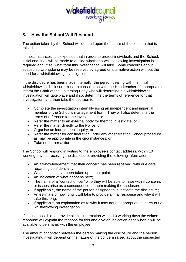

# **8. How the School Will Respond**

The action taken by the School will depend upon the nature of the concern that is raised.

In most instances, it is expected that in order to protect individuals and the School, initial enquiries will be made to decide whether a whistleblowing investigation is required and, if so, what form this investigation will take. Some concerns about suspected wrongdoing may be resolved by agreed or alternative action without the need for a whistleblowing investigation.

If the disclosure has been made internally, the person dealing with the initial whistleblowing disclosure must, in consultation with the Headteacher (if appropriate), inform the Chair of the Governing Body who will determine if a whistleblowing investigation will take place and if so, determine the terms of reference for that investigation, and then take the decision to:

- Complete the investigation internally using an independent and impartial member of the School's management team. They will also determine the terms of reference for the investigation; or
- Refer the matter to an external body for them to investigate; or
- Refer the matter directly to the Police; or
- Organise an independent inquiry; or
- Refer the matter for consideration under any other existing School procedure as may be appropriate in the circumstances; or
- Take no further action

The School will respond in writing to the employee's contact address, within 10 working days of receiving the disclosure, providing the following information:

- An acknowledgement that their concern has been received, with due care regarding confidentiality;
- What actions have been taken up to that point;
- An indication of what happens next;
- The name of a "contact officer" who they will be able to liaise with if concerns or issues arise as a consequence of them making the disclosure;
- If applicable, the name of the person assigned to investigate the disclosure;
- An estimate of how long it will take to provide a final response and why it will take this long;
- If applicable, an explanation as to why it may not be appropriate to carry out a whistleblowing investigation.

If it is not possible to provide all this information within 10 working days the written response will explain the reasons for this and give an indication as to when it will be available to be shared with the employee.

The amount of contact between the person making the disclosure and the person investigating it will depend on the nature of the concern raised about the suspected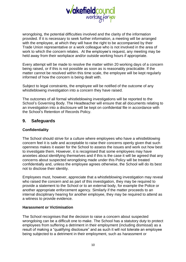

wrongdoing, the potential difficulties involved and the clarity of the information provided. If it is necessary to seek further information, a meeting will be arranged with the employee, at which they will have the right to be accompanied by their Trade Union representative or a work colleague who is not involved in the area of work to which the concern relates. At the employee's request, any meeting may be held away from their workplace and/or outside working hours if appropriate.

Every attempt will be made to resolve the matter within 20 working days of a concern being raised, or if this is not possible as soon as is reasonably practicable. If the matter cannot be resolved within this time scale, the employee will be kept regularly informed of how the concern is being dealt with.

Subject to legal constraints, the employee will be notified of the outcome of any whistleblowing investigation into a concern they have raised.

The outcomes of all formal whistleblowing investigations will be reported to the School's Governing Body. The Headteacher will ensure that all documents relating to an investigation into a disclosure will be kept on confidential file in accordance with the School's Retention of Records Policy.

# **9. Safeguards**

#### **Confidentiality**

The School should strive for a culture where employees who have a whistleblowing concern feel it is safe and acceptable to raise their concerns openly given that such openness makes it easier for the School to assess the issues and work out how best to investigate them. However, it is recognised that some employees may have anxieties about identifying themselves and if this is the case it will be agreed that any concerns about suspected wrongdoing made under this Policy will be treated confidentially and, unless the employee agrees otherwise, the School will do its best not to disclose their identity.

Employees must, however, appreciate that a whistleblowing investigation may reveal who raised the concern and as part of this investigation, they may be required to provide a statement to the School or to an external body, for example the Police or another appropriate enforcement agency. Similarly if the matter proceeds to an internal disciplinary hearing for another employee, they may be required to attend as a witness to provide evidence.

#### **Harassment or Victimisation**

The School recognises that the decision to raise a concern about suspected wrongdoing can be a difficult one to make. The School has a statutory duty to protect employees from suffering a detriment in their employment (including dismissal) as a result of making a "qualifying disclosure" and as such it will not tolerate an employee being subjected to a detriment in their employment, such as harassment or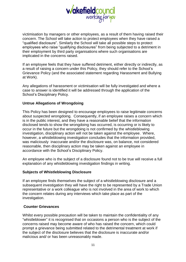

victimisation by managers or other employees, as a result of them having raised their concern. The School will take action to protect employees when they have raised a "qualified disclosure". Similarly the School will take all possible steps to protect employees who raise "qualifying disclosures" from being subjected to a detriment in their employment by third party organisations where such organisations are implicated in the concerns raised.

If an employee feels that they have suffered detriment, either directly or indirectly, as a result of raising a concern under this Policy, they should refer to the School's Grievance Policy (and the associated statement regarding Harassment and Bullying at Work).

Any allegations of harassment or victimisation will be fully investigated and where a case to answer is identified it will be addressed through the application of the School's Disciplinary Policy.

#### **Untrue Allegations of Wrongdoing**

This Policy has been designed to encourage employees to raise legitimate concerns about suspected wrongdoing. Consequently, if an employee raises a concern which is in the public interest, and they have a reasonable belief that the information disclosed tends to show the wrongdoing has occurred, is occurring or is likely to occur in the future but the wrongdoing is not confirmed by the whistleblowing investigation, disciplinary action will not be taken against the employee. Where, however, a whistleblowing investigation concludes that the information provided, was maliciously inaccurate and/or the disclosure was, on balance, not considered reasonable, then disciplinary action may be taken against an employee in accordance with the School's Disciplinary Policy.

An employee who is the subject of a disclosure found not to be true will receive a full explanation of any whistleblowing investigation findings in writing.

#### **Subjects of Whistleblowing Disclosure**

If an employee finds themselves the subject of a whistleblowing disclosure and a subsequent investigation they will have the right to be represented by a Trade Union representative or a work colleague who is not involved in the area of work to which the concern relates during any interviews which take place as part of the investigation.

#### **Counter Grievances**

Whilst every possible precaution will be taken to maintain the confidentiality of any "whistleblower" it is recognised that on occasions a person who is the subject of the concerns raised may become aware of who has raised the concern, which could prompt a grievance being submitted related to the detrimental treatment at work if the subject of the disclosure believes that the disclosure is inaccurate and/or malicious and/ or has been unreasonably made.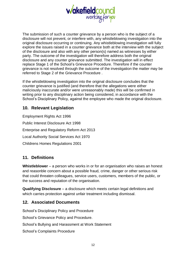

The submission of such a counter grievance by a person who is the subject of a disclosure will not prevent, or interfere with, any whistleblowing investigation into the original disclosure occurring or continuing. Any whistleblowing investigation will fully explore the issues raised in a counter grievance both at the interview with the subject of the disclosure and also with any other person(s) named as witnesses by either party. The outcome of the investigation will therefore address both the original disclosure and any counter grievance submitted. The investigation will in effect replace Stage 1 of the School's Grievance Procedure. Therefore if the counter grievance is not resolved through the outcome of the investigation the matter may be referred to Stage 2 of the Grievance Procedure .

If the whistleblowing investigation into the original disclosure concludes that the counter grievance is justified (and therefore that the allegations were either maliciously inaccurate and/or were unreasonably made) this will be confirmed in writing prior to any disciplinary action being considered, in accordance with the School's Disciplinary Policy, against the employee who made the original disclosure.

# **10. Relevant Legislation**

Employment Rights Act 1996 Public Interest Disclosure Act 1998 Enterprise and Regulatory Reform Act 2013 Local Authority Social Services Act 1970 Childrens Homes Regulations 2001

# **11. Definitions**

**Whistleblower** – a person who works in or for an organisation who raises an honest and reasonble concern about a possible fraud, crime, danger or other serious risk that could threaten colleagues, service users, customers, members of the public, or the success and reputation of the organisation.

**Qualifying Disclosure** – a disclosure which meets certain legal definitions and which carries protection against unfair treatment including dismissal.

# **12. Associated Documents**

School's Disciplinary Policy and Procedure School's Grievance Policy and Procedure. School's Bullying and Harassment at Work Statement School's Complaints Procedure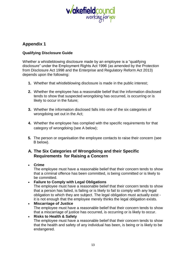

# **Appendix 1**

#### **Qualifying Disclosure Guide**

Whether a whistleblowing disclosure made by an employee is a "qualifying disclosure" under the Employment Rights Act 1996 (as amended by the Protection from Disclosure Act 1998 and the Enterprise and Regulatory Reform Act 2013) depends upon the following:

- **1.** Whether that whistleblowing disclosure is made in the public interest;
- **2.** Whether the employee has a reasonable belief that the information disclosed tends to show that suspected wrongdoing has occurred, is occurring or is likely to occur in the future;
- **3.** Whether the information disclosed falls into one of the six categories of wrongdoing set out in the Act;
- **4.** Whether the employee has complied with the specific requirements for that category of wrongdoing (see A below);
- **5.** The person or organisation the employee contacts to raise their concern (see B below).

# **A. The Six Categories of Wrongdoing and their Specific Requirements for Raising a Concern**

• **Crime**

The employee must have a reasonable belief that their concern tends to show that a criminal offence has been committed, is being committed or is likely to be committed.

• **Failure to Comply with Legal Obligations**

The employee must have a reasonable belief that their concern tends to show that a person has failed, is failing or is likely to fail to comply with any legal obligation to which they are subject. The legal obligation must actually exist it is not enough that the employee merely thinks the legal obligation exists.

• **Miscarriage of Justice** The employee must have a reasonable belief that their concern tends to show that a miscarriage of justice has occurred, is occurring or is likely to occur.

• **Risks to Health & Safety**

The employee must have a reasonable belief that their concern tends to show that the health and safety of any individual has been, is being or is likely to be endangered.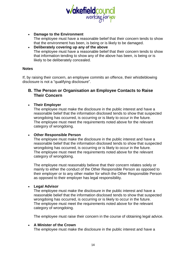

- **Damage to the Environment** The employee must have a reasonable belief that their concern tends to show that the environment has been, is being or is likely to be damaged.
- **Deliberately covering up any of the above** The employee must have a reasonable belief that their concern tends to show that information tending to show any of the above has been, is being or is likely to be deliberately concealed.

#### **Notes**

If, by raising their concern, an employee commits an offence, their whistleblowing disclosure is not a "qualifying disclosure".

### **B. The Person or Organisation an Employee Contacts to Raise Their Concern**

#### • **Their Employer**

The employee must make the disclosure in the public interest and have a reasonable belief that the information disclosed tends to show that suspected wrongdoing has occurred, is occurring or is likely to occur in the future. The employee must meet the requirements noted above for the relevant category of wrongdoing.

#### • **Other Responsible Person**

The employee must make the disclosure in the public interest and have a reasonable belief that the information disclosed tends to show that suspected wrongdoing has occurred, is occurring or is likely to occur in the future. The employee must meet the requirements noted above for the relevant category of wrongdoing.

The employee must reasonably believe that their concern relates solely or mainly to either the conduct of the Other Responsible Person as opposed to their employer or to any other matter for which the Other Responsible Person as opposed to their employer has legal responsibility.

#### • **Legal Advisor**

The employee must make the disclosure in the public interest and have a reasonable belief that the information disclosed tends to show that suspected wrongdoing has occurred, is occurring or is likely to occur in the future. The employee must meet the requirements noted above for the relevant category of wrongdoing.

The employee must raise their concern in the course of obtaining legal advice.

#### • **A Minister of the Crown**

The employee must make the disclosure in the public interest and have a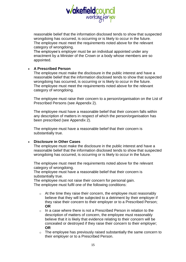

reasonable belief that the information disclosed tends to show that suspected wrongdoing has occurred, is occurring or is likely to occur in the future. The employee must meet the requirements noted above for the relevant category of wrongdoing.

The employee's employer must be an individual appointed under any enactment by a Minister of the Crown or a body whose members are so appointed.

#### • **A Prescribed Person**

The employee must make the disclosure in the public interest and have a reasonable belief that the information disclosed tends to show that suspected wrongdoing has occurred, is occurring or is likely to occur in the future. The employee must meet the requirements noted above for the relevant category of wrongdoing.

The employee must raise their concern to a person/organisation on the List of Prescribed Persons (see Appendix 2).

The employee must have a reasonable belief that their concern falls within any description of matters in respect of which the person/organisation has been prescribed (see Appendix 2).

The employee must have a reasonable belief that their concern is substantially true.

#### • **Disclosure in Other Cases**

The employee must make the disclosure in the public interest and have a reasonable belief that the information disclosed tends to show that suspected wrongdoing has occurred, is occurring or is likely to occur in the future.

The employee must meet the requirements noted above for the relevant category of wrongdoing.

The employee must have a reasonable belief that their concern is substantially true.

The employee must not raise their concern for personal gain. The employee must fulfil one of the following conditions:

- $\circ$  At the time they raise their concern, the employee must reasonably believe that they will be subjected to a detriment by their employer if they raise their concern to their employer or to a Prescribed Person; **OR**
- $\circ$  In a case where there is not a Prescribed Person in relation to the description of matters of concern, the employee must reasonably believe that it is likely that evidence relating to their concern will be concealed or destroyed if they raise their concern to their employer; **OR**
- $\circ$  The employee has previously raised substantially the same concern to their employer or to a Prescribed Person.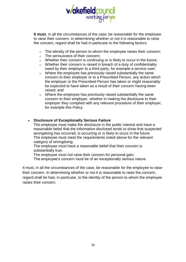

**It must**, in all the circumstances of the case, be reasonable for the employee to raise their concern. In determining whether or not it is reasonable to raise the concern, regard shall be had in particular to the following factors:

- $\circ$  The identity of the person to whom the employee raises their concern;
- o The seriousness of their concern;
- o Whether their concern is continuing or is likely to occur in the future;
- o Whether their concern is raised in breach of a duty of confidentiality owed by their employer to a third party, for example a service user;
- o Where the employee has previously raised substantially the same concern to their employer or to a Prescribed Person, any action which the employer or the Prescribed Person has taken or might reasonably be expected to have taken as a result of their concern having been raised; and
- o Where the employee has previously raised substantially the same concern to their employer, whether in making the disclosure to their employer they complied with any relevant procedure of their employer, for example this Policy.

#### • **Disclosure of Exceptionally Serious Failure**

The employee must make the disclosure in the public interest and have a reasonable belief that the information disclosed tends to show that suspected wrongdoing has occurred, is occurring or is likely to occur in the future. The employee must meet the requirements noted above for the relevant category of wrongdoing.

The employee must have a reasonable belief that their concern is substantially true.

The employee must not raise their concern for personal gain.

The employee's concern must be of an exceptionally serious nature.

It must, in all the circumstances of the case, be reasonable for the employee to raise their concern. In determining whether or not it is reasonable to raise the concern, regard shall be had, in particular, to the identity of the person to whom the employee raises their concern.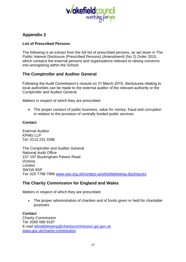

# **Appendix 2**

#### **List of Prescribed Persons**

The following is an extract from the full list of prescribed persons, as set down in The Public Interest Disclosure (Prescribed Persons) (Amendment) (No 2) Order 2015, which contains the external persons and organisations relevant to raising concerns into wrongdoing within the School.

#### **The Comptroller and Auditor General**

Following the Audit Commission's closure on 31 March 2015, disclosures relating to local authorities can be made to the external auditor of the relevant authority or the Comptroller and Auditor General.

Matters in respect of which they are prescribed:

• The proper conduct of public business, value for money, fraud and corruption in relation to the provision of centrally funded public services

#### **Contact**

External Auditor KPMG LLP Tel: 0113 231 3396

The Comptroller and Auditor General National Audit Office 157-197 Buckingham Palace Road Victoria London SW1W 9SP Tel: 020 7798 7999 [www.nao.org.uk/contact-us/w](http://www.nao.org.uk/contact-us/)histleblowing-disclosures

# **The Charity Commission for England and Wales**

Matters in respect of which they are prescribed:

• The proper administration of charities and of funds given or held for charitable purposes

#### **Contact**

Charity Commission Tel: 0300 066 9197 E-mail [whistleblowing@charitycommission.gsi.gov.uk](mailto:whistleblowing@charitycommission.gsi.gov.uk) [www.gov.uk/charity-commission](http://www.gov.uk/charity-commission)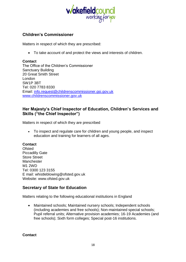

# **Children's Commissioner**

Matters in respect of which they are prescribed:

• To take account of and protect the views and interests of children.

#### **Contact**

The Office of the Children's Commissioner Sanctuary Building 20 Great Smith Street London SW1P 3BT Tel: 020 7783 8330 Email: [info.request@childrenscommissioner.gsi.gov.uk](mailto:info.request@childrenscommissioner.gsi.gov.uk) [www.childrenscommissioner.gov.uk](http://www.childrenscommissioner.gov.uk/)

# **Her Majesty's Chief Inspector of Education, Children's Services and Skills ("the Chief Inspector")**

Matters in respect of which they are prescribed

• To inspect and regulate care for children and young people, and inspect education and training for learners of all ages.

#### **Contact**

Ofsted Piccadilly Gate Store Street Manchester M1 2WD Tel: 0300 123 3155 E mail: whistleblowing@ofsted.gov.uk Website: www.ofsted.gov.uk

#### **Secretary of State for Education**

Matters relating to the following educational institutions in England

• Maintained schools; Maintained nursery schools; Independent schools (including academies and free schools); Non-maintained special schools; Pupil referral units; Alternative provision academies; 16-19 Academies (and free schools); Sixth form colleges; Special post-16 institutions.

**Contact**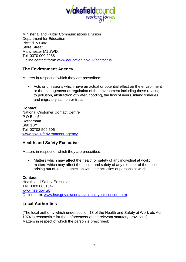

Ministerial and Public Communications Division Department for Education Piccadilly Gate Store Street Manchester M1 2WD Tel: 0370 000 2288 Online contact form: [www.education.gov.uk/contactus](http://www.education.gov.uk/contactus)

# **The Environment Agency**

Matters in respect of which they are prescribed:

• Acts or omissions which have an actual or potential effect on the environment or the management or regulation of the environment including those relating to pollution, abstraction of water, flooding, the flow of rivers, inland fisheries and migratory salmon or trout

**Contact** National Customer Contact Centre P O Box 544 Rotherham S60 1BY Tel: 03708 506 506 [www.gov.uk/environment-agency](http://www.gov.uk/environment-agency)

# **Health and Safety Executive**

Matters in respect of which they are prescribed:

• Matters which may affect the health or safety of any individual at work; matters which may affect the health and safety of any member of the public arising out of, or in connection with, the activities of persons at work

**Contact** Health and Safety Executive Tel: 0300 0031647 [www.hse.gov.uk](http://www.hse.gov.uk/) Online form: [www.hse.gov.uk/contact/raising-your-concern.htm](http://www.hse.gov.uk/contact/raising-your-concern.htm)

# **Local Authorities**

(The local authority which under section 18 of the Health and Safety at Work etc Act 1974 is responsible for the enforcement of the relevant statutory provisions) Matters in respect of which the person is prescribed: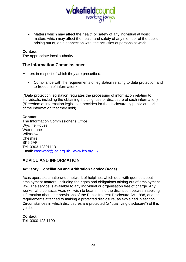

• Matters which may affect the health or safety of any individual at work; matters which may affect the health and safety of any member of the public arising out of, or in connection with, the activities of persons at work

#### **Contact**

The appropriate local authority

#### **The Information Commissioner**

Matters in respect of which they are prescribed:

• Compliance with the requirements of legislation relating to data protection and to freedom of information\*

(\*Data protection legislation regulates the processing of information relating to individuals, including the obtaining, holding, use or disclosure of such information) (\*Freedom of information legislation provides for the disclosure by public authorities of the information that they hold)

#### **Contact**

The Information Commissioner's Office Wycliffe House Water Lane Wilmslow Cheshire SK9 5AF Tel: 0303 12301113 Email: [casework@ico.org.uk](mailto:casework@ico.org.uk) [www.ico.org.uk](http://www.ico.org.uk/)

# **ADVICE AND INFORMATION**

#### **Advisory, Conciliation and Arbitration Service (Acas)**

Acas operates a nationwide network of helplines which deal with queries about employment matters, including the rights and obligations arising out of employment law. The service is available to any individual or organisation free of charge. Any worker who contacts Acas will wish to bear in mind the distinction between seeking information about the provisions of the Public Interest Disclosure Act 1998, and the requirements attached to making a protected disclosure, as explained in section Circumstances in which disclosures are protected (a "qualifying disclosure") of this guide.

#### **Contact**

Tel: 0300 123 1100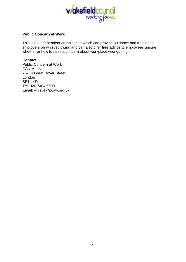

#### **Public Concern at Work**

This is an independent organisation which can provide guidance and training to employers on whistleblowing and can also offer free advice to employees unsure whether or how to raise a concern about workplace wrongdoing.

#### **Contact**

Public Concern at Work CAN Mezzanine 7 – 14 Great Dover Street London SE1 4YR Tel: 020 7404 6609 Email: whistle@pcaw.org.uk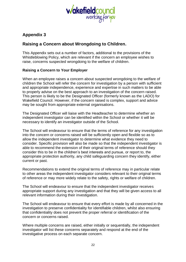

# **Appendix 3**

# **Raising a Concern about Wrongdoing to Children.**

This Appendix sets out a number of factors, additional to the provisions of the Whistleblowing Policy, which are relevant if the concern an employee wishes to raise, concerns suspected wrongdoing to the welfare of children.

#### **Raising a Concern to Your Employer**

When an employee raises a concern about suspected wrongdoing to the welfare of children the School will refer the concern for investigation by a person with sufficient and appropriate independence, experience and expertise in such matters to be able to properly advise on the best approach to an investigation of the concern raised. This person is likely to be the Designated Officer (formerly known as the LADO) for Wakefield Council. However, if the concern raised is complex, support and advice may be sought from appropriate external organisations.

The Designated Officer will liaise with the Headteacher to determine whether an independent investigator can be identified within the School or whether it will be necessary to identify an investigator outside of the School.

The School will endeavour to ensure that the terms of reference for any investigation into the concern or concerns raised will be sufficiently open and flexible so as to allow the independent investigator to determine what evidence they need to consider. Specific provision will also be made so that the independent investigator is able to recommend the extension of their original terms of reference should they consider this to be in the children's best interests and pursue, or report to, the appropriate protection authority, any child safeguarding concern they identify, either current or past.

Recommendations to extend the original terms of reference may in particular relate to other areas the independent investigator considers relevant to their original terms of reference or may more widely relate to the safety, rights or welfare of children.

The School will endeavour to ensure that the independent investigator receives appropriate support during any investigation and that they will be given access to all relevant information during their investigation.

The School will endeavour to ensure that every effort is made by all concerned in the investigation to preserve confidentiality for identifiable children, whilst also ensuring that confidentiality does not prevent the proper referral or identification of the concern or concerns raised.

Where multiple concerns are raised, either initially or sequentially, the independent investigator will list these concerns separately and respond at the end of the investigative process on each separate concern.